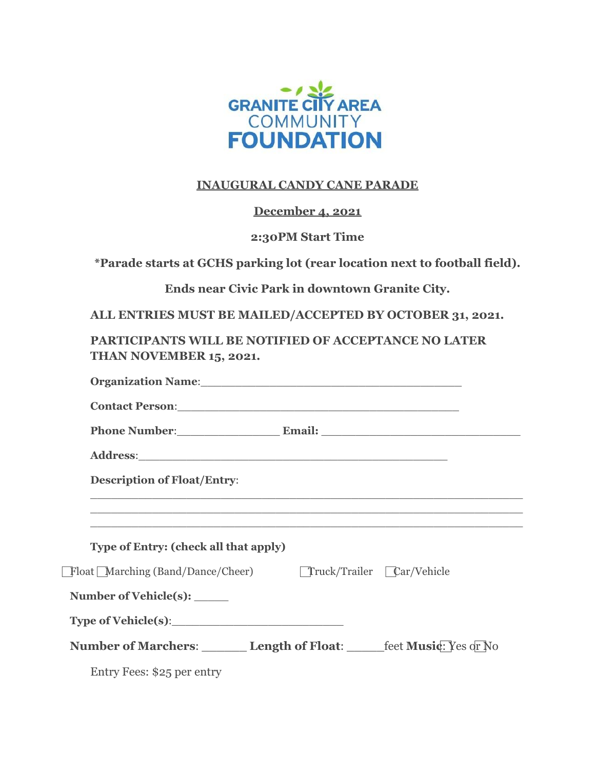

### **INAUGURAL CANDY CANE PARADE**

### **December 4, 2021**

#### **2:30PM Start Time**

**\*Parade starts at GCHS parking lot (rear location next to football field).**

**Ends near Civic Park in downtown Granite City.**

**ALL ENTRIES MUST BE MAILED/ACCEPTED BY OCTOBER 31, 2021.**

**PARTICIPANTS WILL BE NOTIFIED OF ACCEPTANCE NO LATER THAN NOVEMBER 15, 2021.**

| Organization Name: 1988 and 2008 and 2010 and 2010 and 2010 and 2010 and 2010 and 2010 and 2010 and 2010 and 20                                               |
|---------------------------------------------------------------------------------------------------------------------------------------------------------------|
| Contact Person: 2008 and 2008 and 2008 and 2008 and 2008 and 2008 and 2008 and 2008 and 2008 and 2008 and 2008                                                |
| Phone Number: Email: Email:                                                                                                                                   |
|                                                                                                                                                               |
| <b>Description of Float/Entry:</b>                                                                                                                            |
| ,我们也不会有什么。""我们的人,我们也不会有什么?""我们的人,我们也不会有什么?""我们的人,我们也不会有什么?""我们的人,我们也不会有什么?""我们的人                                                                              |
| <u> 1999 - Jan James James Jan James James Jan James James James James James James James James James James James</u><br>Type of Entry: (check all that apply) |
| Float Marching (Band/Dance/Cheer) Truck/Trailer Car/Vehicle                                                                                                   |
| Number of Vehicle(s): ______                                                                                                                                  |
| Type of Vehicle(s):                                                                                                                                           |
| <b>Number of Marchers: Length of Float:</b> feet Music: Yes of No                                                                                             |
| Entry Fees: \$25 per entry                                                                                                                                    |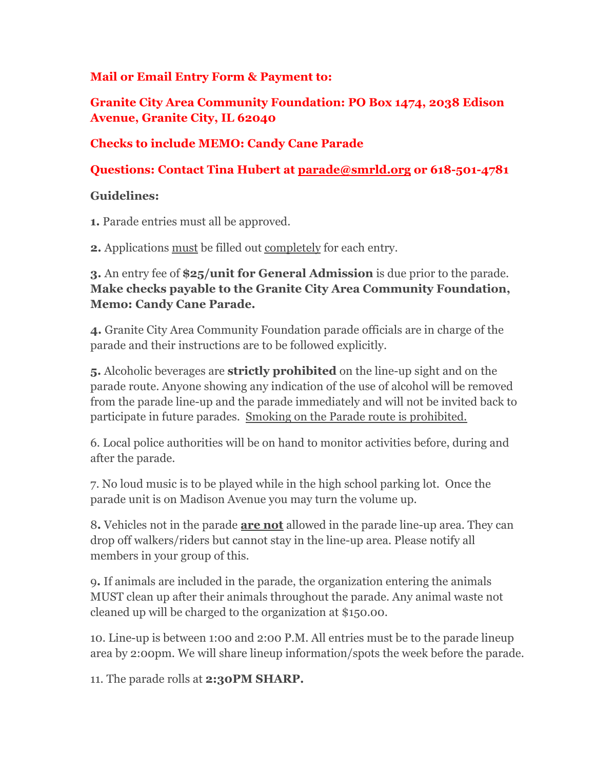### **Mail or Email Entry Form & Payment to:**

**Granite City Area Community Foundation: PO Box 1474, 2038 Edison Avenue, Granite City, IL 62040**

### **Checks to include MEMO: Candy Cane Parade**

**Questions: Contact Tina Hubert at [parade@smrld.org](mailto:parade@smrld.org) or 618-501-4781**

### **Guidelines:**

**1.** Parade entries must all be approved.

**2.** Applications must be filled out completely for each entry.

**3.** An entry fee of **\$25/unit for General Admission** is due prior to the parade. **Make checks payable to the Granite City Area Community Foundation, Memo: Candy Cane Parade.**

**4.** Granite City Area Community Foundation parade officials are in charge of the parade and their instructions are to be followed explicitly.

**5.** Alcoholic beverages are **strictly prohibited** on the line-up sight and on the parade route. Anyone showing any indication of the use of alcohol will be removed from the parade line-up and the parade immediately and will not be invited back to participate in future parades. Smoking on the Parade route is prohibited.

6. Local police authorities will be on hand to monitor activities before, during and after the parade.

7. No loud music is to be played while in the high school parking lot. Once the parade unit is on Madison Avenue you may turn the volume up.

8**.** Vehicles not in the parade **are not** allowed in the parade line-up area. They can drop off walkers/riders but cannot stay in the line-up area. Please notify all members in your group of this.

9**.** If animals are included in the parade, the organization entering the animals MUST clean up after their animals throughout the parade. Any animal waste not cleaned up will be charged to the organization at \$150.00.

10. Line-up is between 1:00 and 2:00 P.M. All entries must be to the parade lineup area by 2:00pm. We will share lineup information/spots the week before the parade.

11. The parade rolls at **2:30PM SHARP.**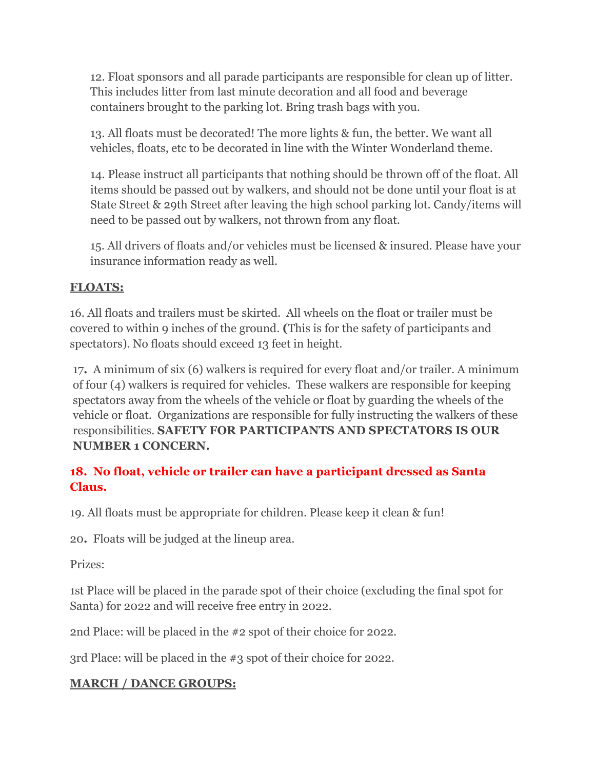12. Float sponsors and all parade participants are responsible for clean up of litter. This includes litter from last minute decoration and all food and beverage containers brought to the parking lot. Bring trash bags with you.

13. All floats must be decorated! The more lights & fun, the better. We want all vehicles, floats, etc to be decorated in line with the Winter Wonderland theme.

14. Please instruct all participants that nothing should be thrown off of the float. All items should be passed out by walkers, and should not be done until your float is at State Street & 29th Street after leaving the high school parking lot. Candy/items will need to be passed out by walkers, not thrown from any float.

15. All drivers of floats and/or vehicles must be licensed & insured. Please have your insurance information ready as well.

## **FLOATS:**

16. All floats and trailers must be skirted. All wheels on the float or trailer must be covered to within 9 inches of the ground. **(**This is for the safety of participants and spectators). No floats should exceed 13 feet in height.

17**.** A minimum of six (6) walkers is required for every float and/or trailer. A minimum of four (4) walkers is required for vehicles. These walkers are responsible for keeping spectators away from the wheels of the vehicle or float by guarding the wheels of the vehicle or float. Organizations are responsible for fully instructing the walkers of these responsibilities. **SAFETY FOR PARTICIPANTS AND SPECTATORS IS OUR NUMBER 1 CONCERN.**

## **18. No float, vehicle or trailer can have a participant dressed as Santa Claus.**

19. All floats must be appropriate for children. Please keep it clean & fun!

20**.** Floats will be judged at the lineup area.

Prizes:

1st Place will be placed in the parade spot of their choice (excluding the final spot for Santa) for 2022 and will receive free entry in 2022.

2nd Place: will be placed in the #2 spot of their choice for 2022.

3rd Place: will be placed in the #3 spot of their choice for 2022.

## **MARCH / DANCE GROUPS:**